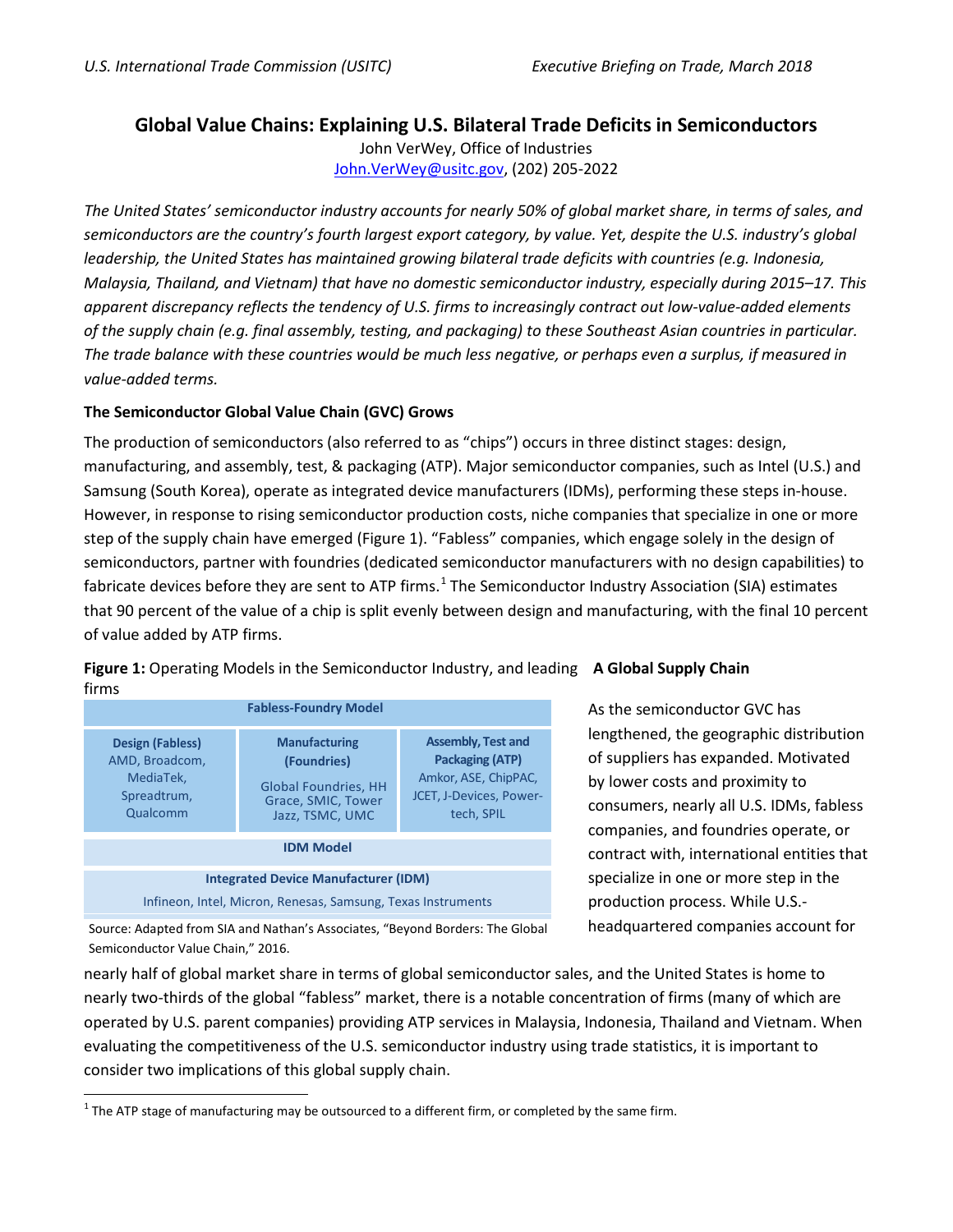## **Global Value Chains: Explaining U.S. Bilateral Trade Deficits in Semiconductors**

John VerWey, Office of Industries [John.VerWey@usitc.gov,](mailto:John.VerWey@usitc.gov) (202) 205-2022

*The United States' semiconductor industry accounts for nearly 50% of global market share, in terms of sales, and semiconductors are the country's fourth largest export category, by value. Yet, despite the U.S. industry's global leadership, the United States has maintained growing bilateral trade deficits with countries (e.g. Indonesia, Malaysia, Thailand, and Vietnam) that have no domestic semiconductor industry, especially during 2015–17. This apparent discrepancy reflects the tendency of U.S. firms to increasingly contract out low-value-added elements of the supply chain (e.g. final assembly, testing, and packaging) to these Southeast Asian countries in particular. The trade balance with these countries would be much less negative, or perhaps even a surplus, if measured in value-added terms.*

## **The Semiconductor Global Value Chain (GVC) Grows**

The production of semiconductors (also referred to as "chips") occurs in three distinct stages: design, manufacturing, and assembly, test, & packaging (ATP). Major semiconductor companies, such as Intel (U.S.) and Samsung (South Korea), operate as integrated device manufacturers (IDMs), performing these steps in-house. However, in response to rising semiconductor production costs, niche companies that specialize in one or more step of the supply chain have emerged (Figure 1). "Fabless" companies, which engage solely in the design of semiconductors, partner with foundries (dedicated semiconductor manufacturers with no design capabilities) to fabricate devices before they are sent to ATP firms.<sup>[1](#page-0-0)</sup> The Semiconductor Industry Association (SIA) estimates that 90 percent of the value of a chip is split evenly between design and manufacturing, with the final 10 percent of value added by ATP firms.



**Figure 1:** Operating Models in the Semiconductor Industry, and leading **A Global Supply Chain** firms

> As the semiconductor GVC has lengthened, the geographic distribution of suppliers has expanded. Motivated by lower costs and proximity to consumers, nearly all U.S. IDMs, fabless companies, and foundries operate, or contract with, international entities that specialize in one or more step in the production process. While U.S. headquartered companies account for

Source: Adapted from SIA and Nathan's Associates, "Beyond Borders: The Global Semiconductor Value Chain," 2016.

nearly half of global market share in terms of global semiconductor sales, and the United States is home to nearly two-thirds of the global "fabless" market, there is a notable concentration of firms (many of which are operated by U.S. parent companies) providing ATP services in Malaysia, Indonesia, Thailand and Vietnam. When evaluating the competitiveness of the U.S. semiconductor industry using trade statistics, it is important to consider two implications of this global supply chain.

<span id="page-0-0"></span> $1$  The ATP stage of manufacturing may be outsourced to a different firm, or completed by the same firm.